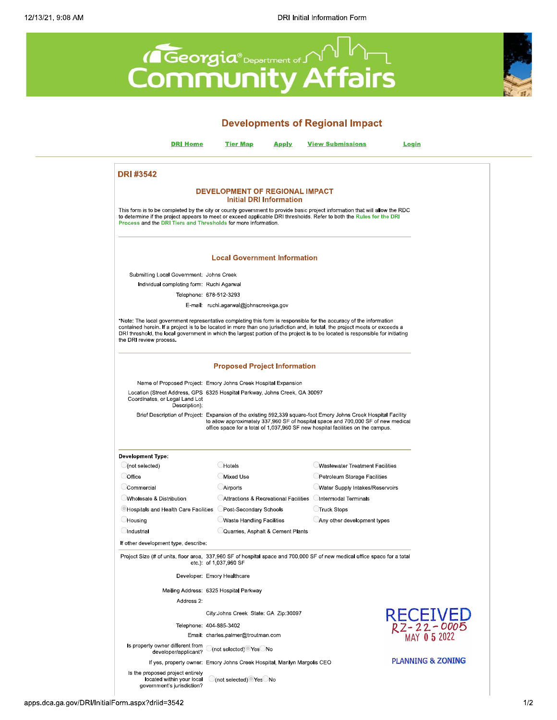



apps.dca.ga.gov/DRI/InitialForm.aspx?driid=3542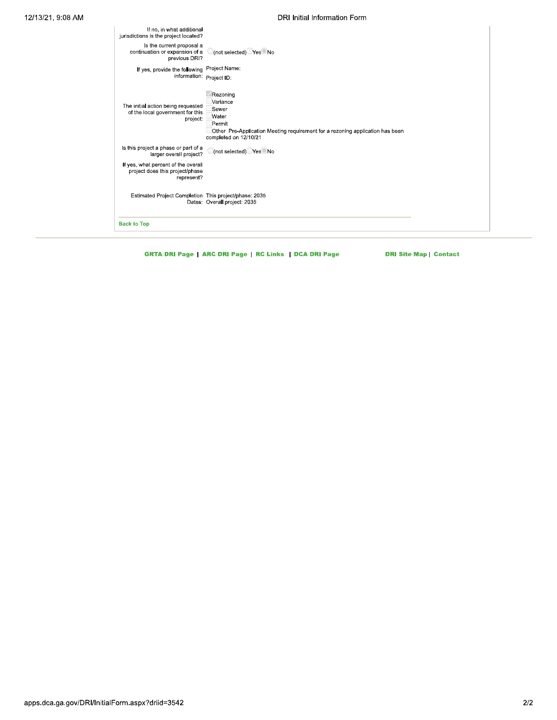## DRI Initial Information Form

| If no, in what additional<br>jurisdictions is the project located?                   |                                                                                                                                                            |
|--------------------------------------------------------------------------------------|------------------------------------------------------------------------------------------------------------------------------------------------------------|
| Is the current proposal a<br>continuation or expansion of a<br>previous DRI?         | (not selected) Yes No                                                                                                                                      |
| If yes, provide the following Project Name:<br>information: Project ID:              |                                                                                                                                                            |
| The initial action being requested<br>of the local government for this<br>project:   | Rezoning<br>Variance<br>Sewer<br>Water<br>Permit<br>Other Pre-Application Meeting requirement for a rezoning application has been<br>completed on 12/10/21 |
| Is this project a phase or part of a<br>larger overall project?                      | (not selected) Yes No                                                                                                                                      |
| If yes, what percent of the overall<br>project does this project/phase<br>represent? |                                                                                                                                                            |
| Estimated Project Completion This project/phase: 2035                                | Dates: Overall project: 2035                                                                                                                               |
| <b>Back to Top</b>                                                                   |                                                                                                                                                            |

**GRTA DRI Page | ARC DRI Page | RC Links | DCA DRI Page** 

**DRI Site Map | Contact**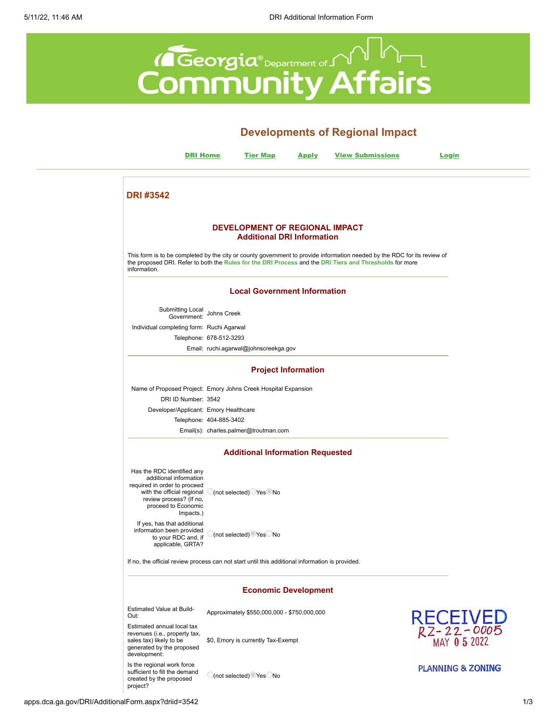<span id="page-2-0"></span>

|                                                                                                                                                                                   |                         |                                                                     |                            | <b>Developments of Regional Impact</b>                                                                                                                                                                                              |                                      |
|-----------------------------------------------------------------------------------------------------------------------------------------------------------------------------------|-------------------------|---------------------------------------------------------------------|----------------------------|-------------------------------------------------------------------------------------------------------------------------------------------------------------------------------------------------------------------------------------|--------------------------------------|
| <b>DRI Home</b>                                                                                                                                                                   |                         | <b>Tier Map</b>                                                     | <b>Apply</b>               | <b>View Submissions</b>                                                                                                                                                                                                             | <u>Login</u>                         |
| <b>DRI#3542</b>                                                                                                                                                                   |                         |                                                                     |                            |                                                                                                                                                                                                                                     |                                      |
|                                                                                                                                                                                   |                         | DEVELOPMENT OF REGIONAL IMPACT<br><b>Additional DRI Information</b> |                            |                                                                                                                                                                                                                                     |                                      |
| information.                                                                                                                                                                      |                         |                                                                     |                            | This form is to be completed by the city or county government to provide information needed by the RDC for its review of<br>the proposed DRI. Refer to both the Rules for the DRI Process and the DRI Tiers and Thresholds for more |                                      |
|                                                                                                                                                                                   |                         | <b>Local Government Information</b>                                 |                            |                                                                                                                                                                                                                                     |                                      |
| Submitting Local<br>Government: Johns Creek                                                                                                                                       |                         |                                                                     |                            |                                                                                                                                                                                                                                     |                                      |
| Individual completing form: Ruchi Agarwal                                                                                                                                         |                         |                                                                     |                            |                                                                                                                                                                                                                                     |                                      |
|                                                                                                                                                                                   | Telephone: 678-512-3293 |                                                                     |                            |                                                                                                                                                                                                                                     |                                      |
|                                                                                                                                                                                   |                         | Email: ruchi.agarwal@johnscreekga.gov                               |                            |                                                                                                                                                                                                                                     |                                      |
|                                                                                                                                                                                   |                         |                                                                     | <b>Project Information</b> |                                                                                                                                                                                                                                     |                                      |
| Name of Proposed Project: Emory Johns Creek Hospital Expansion<br>DRI ID Number: 3542                                                                                             |                         |                                                                     |                            |                                                                                                                                                                                                                                     |                                      |
| Developer/Applicant: Emory Healthcare                                                                                                                                             |                         |                                                                     |                            |                                                                                                                                                                                                                                     |                                      |
|                                                                                                                                                                                   | Telephone: 404-885-3402 |                                                                     |                            |                                                                                                                                                                                                                                     |                                      |
|                                                                                                                                                                                   |                         | Email(s): charles.palmer@troutman.com                               |                            |                                                                                                                                                                                                                                     |                                      |
|                                                                                                                                                                                   |                         | <b>Additional Information Requested</b>                             |                            |                                                                                                                                                                                                                                     |                                      |
| Has the RDC identified any<br>additional information<br>required in order to proceed<br>with the official regional<br>review process? (If no,<br>proceed to Economic<br>Impacts.) |                         | C(not selected) Yes No                                              |                            |                                                                                                                                                                                                                                     |                                      |
| If yes, has that additional<br>information been provided<br>to your RDC and, if<br>applicable, GRTA?                                                                              |                         | $\bigcirc$ (not selected) $\bigcirc$ Yes $\bigcirc$ No              |                            |                                                                                                                                                                                                                                     |                                      |
| If no, the official review process can not start until this additional information is provided.                                                                                   |                         |                                                                     |                            |                                                                                                                                                                                                                                     |                                      |
|                                                                                                                                                                                   |                         | <b>Economic Development</b>                                         |                            |                                                                                                                                                                                                                                     |                                      |
| <b>Estimated Value at Build-</b><br>Out:                                                                                                                                          |                         | Approximately \$550,000,000 - \$750,000,000                         |                            |                                                                                                                                                                                                                                     |                                      |
| Estimated annual local tax<br>revenues (i.e., property tax,<br>sales tax) likely to be<br>generated by the proposed<br>development:                                               |                         | \$0, Emory is currently Tax-Exempt                                  |                            |                                                                                                                                                                                                                                     | RECEIVED<br>RZ-22-0005<br>MAY 052022 |
| Is the regional work force<br>sufficient to fill the demand                                                                                                                       |                         |                                                                     |                            |                                                                                                                                                                                                                                     | <b>PLANNING &amp; ZONING</b>         |

(not selected) Yes No

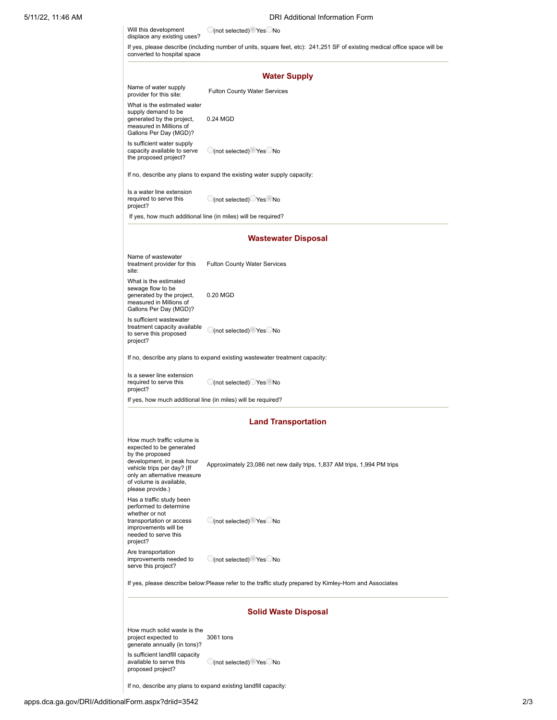| Will this development<br>displace any existing uses?                                                                                                                                                               | C(not selected) Yes No                                                      |  |  |  |
|--------------------------------------------------------------------------------------------------------------------------------------------------------------------------------------------------------------------|-----------------------------------------------------------------------------|--|--|--|
| If yes, please describe (including number of units, square feet, etc): 241,251 SF of existing medical office space will be<br>converted to hospital space                                                          |                                                                             |  |  |  |
|                                                                                                                                                                                                                    | <b>Water Supply</b>                                                         |  |  |  |
| Name of water supply<br>provider for this site:                                                                                                                                                                    | <b>Fulton County Water Services</b>                                         |  |  |  |
| What is the estimated water<br>supply demand to be<br>generated by the project,<br>measured in Millions of<br>Gallons Per Day (MGD)?                                                                               | 0.24 MGD                                                                    |  |  |  |
| Is sufficient water supply<br>capacity available to serve<br>the proposed project?                                                                                                                                 | (not selected) Yes No                                                       |  |  |  |
|                                                                                                                                                                                                                    | If no, describe any plans to expand the existing water supply capacity:     |  |  |  |
| Is a water line extension<br>required to serve this<br>project?                                                                                                                                                    | ◯(not selected)◯ Yes No                                                     |  |  |  |
|                                                                                                                                                                                                                    | If yes, how much additional line (in miles) will be required?               |  |  |  |
|                                                                                                                                                                                                                    | <b>Wastewater Disposal</b>                                                  |  |  |  |
| Name of wastewater<br>treatment provider for this<br>site:                                                                                                                                                         | <b>Fulton County Water Services</b>                                         |  |  |  |
| What is the estimated<br>sewage flow to be<br>generated by the project,<br>measured in Millions of<br>Gallons Per Day (MGD)?                                                                                       | 0.20 MGD                                                                    |  |  |  |
| Is sufficient wastewater<br>treatment capacity available<br>to serve this proposed<br>project?                                                                                                                     | C(not selected) Yes No                                                      |  |  |  |
|                                                                                                                                                                                                                    | If no, describe any plans to expand existing wastewater treatment capacity: |  |  |  |
| Is a sewer line extension<br>required to serve this<br>project?                                                                                                                                                    | C(not selected) Yes No                                                      |  |  |  |
|                                                                                                                                                                                                                    | If yes, how much additional line (in miles) will be required?               |  |  |  |
|                                                                                                                                                                                                                    | <b>Land Transportation</b>                                                  |  |  |  |
| How much traffic volume is<br>expected to be generated<br>by the proposed<br>development, in peak hour<br>vehicle trips per day? (If<br>only an alternative measure<br>of volume is available,<br>please provide.) | Approximately 23,086 net new daily trips, 1,837 AM trips, 1,994 PM trips    |  |  |  |
| Has a traffic study been<br>performed to determine<br>whether or not<br>transportation or access<br>improvements will be<br>needed to serve this<br>project?                                                       | $\bigcirc$ (not selected) $\bigcirc$ Yes $\bigcirc$ No                      |  |  |  |
| Are transportation<br>improvements needed to<br>serve this project?                                                                                                                                                | O(not selected) Yes No                                                      |  |  |  |
| If yes, please describe below: Please refer to the traffic study prepared by Kimley-Horn and Associates                                                                                                            |                                                                             |  |  |  |
| <b>Solid Waste Disposal</b>                                                                                                                                                                                        |                                                                             |  |  |  |
| How much solid waste is the<br>project expected to<br>generate annually (in tons)?                                                                                                                                 | 3061 tons                                                                   |  |  |  |
| Is sufficient landfill capacity<br>available to serve this<br>proposed project?                                                                                                                                    | $\bigcirc$ (not selected) $\bigcirc$ Yes $\bigcirc$ No                      |  |  |  |

If no, describe any plans to expand existing landfill capacity: